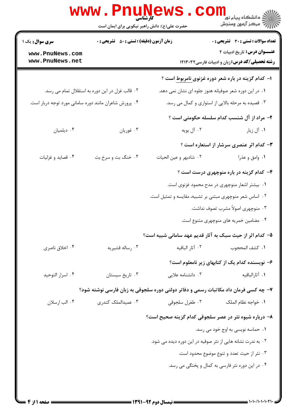|                                                        | حضرت علی(ع): دانش راهبر نیکویی برای ایمان است      |                                                             | ی دانشکاه پیام نور<br>ا∛ مرکز آزمون وسنجش                                              |
|--------------------------------------------------------|----------------------------------------------------|-------------------------------------------------------------|----------------------------------------------------------------------------------------|
| <b>سری سوال :</b> یک ۱                                 | <b>زمان آزمون (دقیقه) : تستی : 50 ٪ تشریحی : 0</b> |                                                             | <b>تعداد سوالات : تستی : 30 ٪ تشریحی : 0</b>                                           |
| www.PnuNews.com<br>www.PnuNews.net                     |                                                    |                                                             | <b>عنـــوان درس:</b> تاریخ ادبیات ۲<br>رشته تحصیلی/کد درس: زبان و ادبیات فارسی ۱۲۱۳۰۳۲ |
|                                                        |                                                    |                                                             | ا– کدام گزینه در باره شعر دوره غزنوی <u>نامربوط</u> است ؟                              |
|                                                        | ۰۲ قالب غزل در این دوره به استقلال تمام می رسد.    |                                                             | ۰۱ در این دوره شعر صوفیانه هنوز جلوه ای نشان نمی دهد.                                  |
| ۰۴ پرورش شاعران مانند دوره سامانی مورد توجه دربار است. |                                                    |                                                             | ۰۳ قصیده به مرحله بالایی از استواری و کمال می رسد.                                     |
|                                                        |                                                    |                                                             | <b>۲</b> – مراد از آل شنسب کدام سلسله حکومتی است ؟                                     |
| ۰۴ دیلمیان                                             | ۰۳ غوريان                                          | ۰۲ آل بويه                                                  | ۰۱ آل زیار                                                                             |
|                                                        |                                                    |                                                             | <b>۳</b> - کدام اثر عنصری سرشار از استعاره است ؟                                       |
| ۰۴ قصايد و غزليات                                      | ۰۳ خنگ بت و سرخ بت                                 | ٢. شادبهر و عين الحيات                                      | ۰۱ وامق و عذرا                                                                         |
|                                                        |                                                    |                                                             | ۴- کدام گزینه در باره منوچهری درست است ؟                                               |
|                                                        |                                                    |                                                             | ۰۱ بیشتر اشعار منوچهری در مدح محمود غزنوی است.                                         |
|                                                        |                                                    | ۰۲ اساس شعر منوچهری مبتنی بر تشبیه، مقایسه و تمثیل است.     |                                                                                        |
|                                                        |                                                    |                                                             | ۰۳ منوچهری اصولاً مشرب تصوف نداشت.                                                     |
|                                                        |                                                    |                                                             | ۰۴ مضامین خمریه های منوچهری متنوع است.                                                 |
|                                                        |                                                    |                                                             | ۵– کدام اثر از حیث سبک به آثار قدیم عهد سامانی شبیه است؟                               |
| ۰۴ اخلاق ناصري                                         | ۰۳ رساله قشیریه                                    | ۰۲ آثار الباقیه                                             | ٠١. كشف المحجوب                                                                        |
|                                                        |                                                    |                                                             | ۶– نویسنده کدام یک از کتابهای زیر نامعلوم است؟                                         |
| ۰۴ اسرار التوحيد                                       | ۰۳ تاریخ سیستان                                    | ۲. دانشنامه علایی                                           | ۰۱ آثارالباقيه                                                                         |
|                                                        |                                                    |                                                             | ۷– چه کسی فرمان داد مکاتبات رسمی و دفاتر دولتی دوره سلجوقی به زبان فارسی نوشته شود؟    |
| ۰۴ الب ارسلان                                          | ۰۳ عمیدالملک کندری                                 | ٠٢ طغرل سلجوقي                                              | ٠١. خواجه نظام الملک                                                                   |
|                                                        |                                                    |                                                             | ۸– درباره شیوه نثر در عصر سلجوقی کدام گزینه صحیح است؟                                  |
|                                                        |                                                    |                                                             | ۰۱ حماسه نویسی به اوج خود می رسد.                                                      |
|                                                        |                                                    | ۰۲ به ندرت نشانه هایی از نثر صوفیه در این دوره دیده می شود. |                                                                                        |
|                                                        |                                                    |                                                             | ۰۳ نثر از حیث تعدد و تنوع موضوع محدود است.                                             |
|                                                        |                                                    |                                                             | ۰۴ در این دوره نثر فارسی به کمال و پختگی می رسد.                                       |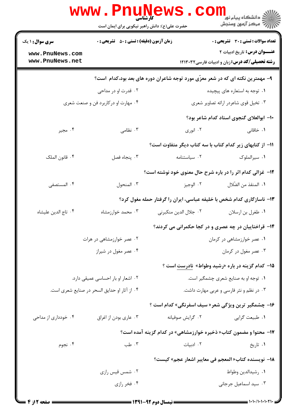|                                                                                | <b>www.PnuNews</b><br>کارشناسی<br>حضرت علی(ع): دانش راهبر نیکویی برای ایمان است |                                                            | ی دانشکاه پیام نور<br>ا∛ مرکز آزمون وسنجش                                                    |  |
|--------------------------------------------------------------------------------|---------------------------------------------------------------------------------|------------------------------------------------------------|----------------------------------------------------------------------------------------------|--|
| <b>سری سوال : ۱ یک</b>                                                         | <b>زمان آزمون (دقیقه) : تستی : 50 ٪ تشریحی : 0</b>                              |                                                            | <b>تعداد سوالات : تستي : 30 ٪ تشريحي : 0</b>                                                 |  |
| www.PnuNews.com<br>www.PnuNews.net                                             |                                                                                 |                                                            | <b>عنـــوان درس:</b> تاریخ ادبیات ۲<br><b>رشته تحصیلی/کد درس:</b> زبان و ادبیات فارسی۱۲۱۳۰۳۲ |  |
| ۹- مهمترین نکته ای که در شعر معزّی مورد توجه شاعران دوره های بعد بود،کدام است؟ |                                                                                 |                                                            |                                                                                              |  |
|                                                                                | ۰۲ قدرت او در مداحی                                                             |                                                            | ۰۱ توجه به استعاره های پیچیده                                                                |  |
|                                                                                | ۰۴ مهارت او درکاربرد فن و صنعت شعری                                             |                                                            | ۰۳ تخیل قوی شاعردر ارائه تصاویر شعری                                                         |  |
|                                                                                |                                                                                 |                                                            | ۱۰– ابوالعلای گنجوی استاد کدام شاعر بود؟                                                     |  |
| ۰۴ مجير                                                                        | ۰۳ نظامی                                                                        | ۰۲ انوري                                                   | ۰۱ خاقانی                                                                                    |  |
|                                                                                |                                                                                 | 11- از کتابهای زیر کدام کتاب با سه کتاب دیگر متفاوت است؟   |                                                                                              |  |
| ۴. قانون الملک                                                                 | ٠٣ پنجاه فصل                                                                    | ٠٢ سياستنامه                                               | ٠١ سيرالملوک                                                                                 |  |
|                                                                                |                                                                                 | ۱۲- غزالی کدام اثر را در باره شرح حال معنوی خود نوشته است؟ |                                                                                              |  |
| ۴. المستصفى                                                                    | ۰۳ المنحول                                                                      | ۰۲ الوجيز                                                  | ٠١. المنقذ من الضّلال                                                                        |  |
|                                                                                |                                                                                 |                                                            | ۱۳- ناسازگاری کدام شخص با خلیفه عباسی، ایران را گرفتار حمله مغول کرد؟                        |  |
| ۰۴ تاج الدين عليشاه                                                            | ۰۳ محمد خوارزمشاه                                                               | ٠٢ جلال الدين منكبرني                                      | ۰۱ طغرل بن ارسلان                                                                            |  |
|                                                                                |                                                                                 |                                                            | ۱۴- قراختاییان در چه عصری و در کجا حکمرانی می کردند؟                                         |  |
|                                                                                | ۰۲ عصر خوارزمشاهی در هرات                                                       |                                                            | ۰۱ عصر خوارزمشاهی در کرمان                                                                   |  |
|                                                                                | ۰۴ عصر مغول در شیراز                                                            |                                                            | ۰۳ عصر مغول در کرمان                                                                         |  |
|                                                                                |                                                                                 |                                                            | <b>۱۵</b> – کدام گزینه در باره «رشید وطواط» نادرست است ؟                                     |  |
| ۰۲ اشعار او بار احساسی عمیقی دارد.                                             |                                                                                 | ۰۱ توجه او به صنایع شعری چشمگیر است.                       |                                                                                              |  |
| ۰۴ از آثار او حدایق السحر در صنایع شعری است.                                   |                                                                                 |                                                            | ۰۳ در نظم و نثر فارسی و عربی مهارت داشت.                                                     |  |
|                                                                                |                                                                                 | ۱۶- چشمگیر ترین ویژگی شعر« سیف اسفرنگی» کدام است ؟         |                                                                                              |  |
| ۰۴ خودداری از مداحی                                                            | ۰۳ عاري بودن از اغراق                                                           | ۰۲ گرايش صوفيانه                                           | ٠١ طبيعت گرايي                                                                               |  |
|                                                                                |                                                                                 |                                                            | <b>۱۷- محتوا و مضمون کتاب« ذخیره خوارزمشاهی» در کدام گزینه آمده است؟</b>                     |  |
| ۰۴ نجوم                                                                        | ۰۳ طب                                                                           | ٠٢ ادبيات                                                  | ۰۱ تاريخ                                                                                     |  |
|                                                                                |                                                                                 |                                                            | 18− نويسنده كتاب«المعجم في معايير اشعار عجم» كيست؟                                           |  |
|                                                                                | ۰۲ شمس قیس رازی                                                                 |                                                            | ٠١ رشيدالدين وطواط                                                                           |  |
|                                                                                | ۰۴ فخر رازي                                                                     |                                                            | ۰۳ سید اسماعیل جرجانی                                                                        |  |
|                                                                                |                                                                                 |                                                            |                                                                                              |  |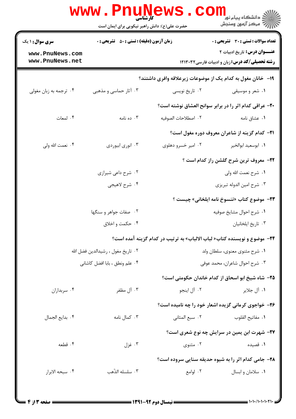|                                    | www . Pni<br><b>۔ کارشناسی</b><br>حضرت علی(ع): دانش راهبر نیکویی برای ایمان است |                     | ڪ دانشڪاه پيا <sub>م</sub> نور<br><mark>ر</mark> 7 مرڪز آزمون وسنڊش                           |
|------------------------------------|---------------------------------------------------------------------------------|---------------------|-----------------------------------------------------------------------------------------------|
| <b>سری سوال : ۱ یک</b>             | <b>زمان آزمون (دقیقه) : تستی : 50 ٪ تشریحی : 0</b>                              |                     | <b>تعداد سوالات : تستي : 30 ٪ تشريحي : 0</b>                                                  |
| www.PnuNews.com<br>www.PnuNews.net |                                                                                 |                     | <b>عنـــوان درس:</b> تاریخ ادبیات ۲<br><b>رشته تحصیلی/کد درس:</b> زبان و ادبیات فارسی ۱۲۱۳۰۳۲ |
|                                    |                                                                                 |                     | ۱۹– خانان مغول به کدام یک از موضوعات زیرعلاقه وافری داشتند؟                                   |
| ۰۴ ترجمه به زبان مغولی             | ۰۳ آثار حماسی و مذهبی                                                           | ۰۲ تاریخ نویسی      | ۰۱ شعر و موسیقی                                                                               |
|                                    |                                                                                 |                     | ۲۰- عراقی کدام اثر را در برابر سوانح العشاق نوشته است؟                                        |
| ۰۴ لمعات                           | ۰۳ ده نامه                                                                      | ٢. اصطلاحات الصوفيه | ۰۱ عشاق نامه                                                                                  |
|                                    |                                                                                 |                     | <b>۲۱</b> - کدام گزینه از شاعران معروف دوره مغول است؟                                         |
| ۰۴ نعمت الله ولي                   | ۰۳ انوري ابيوردي                                                                | ۰۲ امیر خسرو دهلوی  | ٠١. ابوسعيد ابوالخير                                                                          |
|                                    |                                                                                 |                     | <b>3۲- معروف ترین شرح گلشن راز کدام است</b> ؟                                                 |
|                                    | ۰۲ شرح داعی شیرازی                                                              |                     | ٠١. شرح نعمت الله ولي                                                                         |
|                                    | ۰۴ شرح لاهيجي                                                                   |                     | ۰۳ شرح امین الدوله تبریزی                                                                     |
|                                    |                                                                                 |                     | ٢٣- موضوع كتاب «تنسوخ نامه ايلخاني» چيست ؟                                                    |
|                                    | ۰۲ صفات جواهر و سنگها                                                           |                     | ٠١ شرح احوال مشايخ صوفيه                                                                      |
|                                    | ۰۴ حکمت و اخلاق                                                                 |                     | ۰۳ تاريخ ايلخانيان                                                                            |
|                                    |                                                                                 |                     | ۲۴− موضوع و نویسنده کتاب« لباب الالباب» به ترتیب در کدام گزینه آمده است؟                      |
| ٠٢ تاريخ مغول ، رشيدالدين فضل الله |                                                                                 |                     | ۰۱ شرح مثنوي معنوي، سلطان ولد                                                                 |
| ۰۴ علم ونطق ، بابا افضل كاشاني     |                                                                                 |                     | ۰۳ شرح احوال شاعران، محمد عوفي                                                                |
|                                    |                                                                                 |                     | ۲۵– شاه شیخ ابو اسحاق از کدام خاندان حکومتی است؟                                              |
| ۰۴ سربداران                        | ۰۳ آل مظفر                                                                      | ۰۲ آل اینجو         | ۰۱ آل جلاير                                                                                   |
|                                    |                                                                                 |                     | ۲۶- خواجوی کرمانی گزیده اشعار خود را چه نامیده است؟                                           |
| ۰۴ بدايع الجمال                    | ۰۳ کمال نامه                                                                    | ۰۲ سبع المثاني      | ٠١. مفاتيح القلوب                                                                             |
|                                    |                                                                                 |                     | ٢٧- شهرت ابن يمين در سرايش چه نوع شعري است؟                                                   |
| ۰۴ قطعه                            | ۰۳ غزل                                                                          | ۰۲ مثنوی            | ۰۱ قصیده                                                                                      |
|                                    |                                                                                 |                     | <b>38- جامی کدام اثر را به شیوه حدیقه سنایی سروده است</b> ؟                                   |
| ۰۴ سبحه الابرار                    | ٠٣ سلسله الذّهب                                                                 | ۰۲ لوامع            | ۰۱ سلامان و ابسال                                                                             |
|                                    |                                                                                 |                     |                                                                                               |